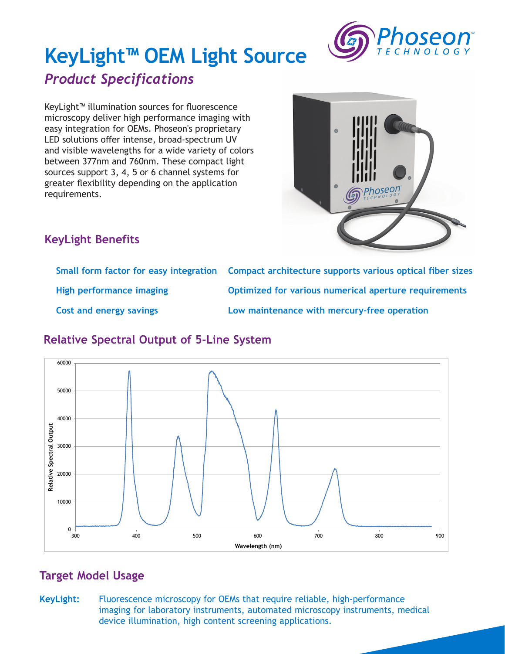

# **KeyLight™ OEM Light Source**

## *Product Specifications*

KeyLight™ illumination sources for fluorescence microscopy deliver high performance imaging with easy integration for OEMs. Phoseon's proprietary LED solutions offer intense, broad-spectrum UV and visible wavelengths for a wide variety of colors between 377nm and 760nm. These compact light sources support 3, 4, 5 or 6 channel systems for greater flexibility depending on the application requirements.



### **KeyLight Benefits**

|                                | Small form factor for easy integration Compact architecture supports various optical fiber sizes |
|--------------------------------|--------------------------------------------------------------------------------------------------|
| High performance imaging       | Optimized for various numerical aperture requirements                                            |
| <b>Cost and energy savings</b> | Low maintenance with mercury-free operation                                                      |

#### **Relative Spectral Output of 5-Line System**



#### **Target Model Usage**

**KeyLight:** Fluorescence microscopy for OEMs that require reliable, high-performance imaging for laboratory instruments, automated microscopy instruments, medical device illumination, high content screening applications.